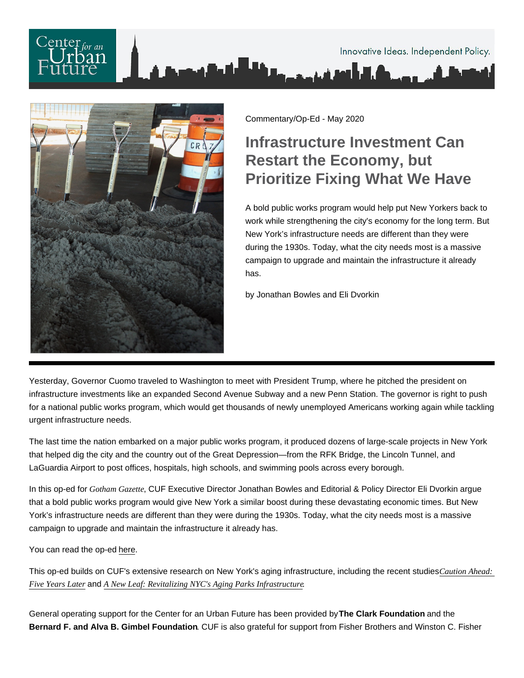

Commentary/Op-Ed - May 2020

## Infrastructure Investment Can Restart the Economy, but Prioritize Fixing What We Have

A bold public works program would help put New Yorkers back to work while strengthening the city's economy for the long term. But New York's infrastructure needs are different than they were during the 1930s. Today, what the city needs most is a massive campaign to upgrade and maintain the infrastructure it already has.

by Jonathan Bowles and Eli Dvorkin

Yesterday, Governor Cuomo traveled to Washington to meet with President Trump, where he pitched the president on infrastructure investments like an expanded Second Avenue Subway and a new Penn Station. The governor is right to push for a national public works program, which would get thousands of newly unemployed Americans working again while tackling urgent infrastructure needs.

The last time the nation embarked on a major public works program, it produced dozens of large-scale projects in New York that helped dig the city and the country out of the Great Depression—from the RFK Bridge, the Lincoln Tunnel, and LaGuardia Airport to post offices, hospitals, high schools, and swimming pools across every borough.

In this op-ed for Gotham GazetteCUF Executive Director Jonathan Bowles and Editorial & Policy Director Eli Dvorkin argue that a bold public works program would give New York a similar boost during these devastating economic times. But New York's infrastructure needs are different than they were during the 1930s. Today, what the city needs most is a massive campaign to upgrade and maintain the infrastructure it already has.

You can read the op-ed [here](https://www.gothamgazette.com/opinion/9447-infrastructure-investment-can-restart-the-economy-but-prioritize-fixing-what-we-have).

This op-ed builds on CUF's extensive research on New York's aging infrastructure, including the recent studies [Caution Ahead](https://nycfuture.org/research/caution-ahead-five-years-later): [Five Years Late](https://nycfuture.org/research/caution-ahead-five-years-later)andA New Leaf: Revitalizing NYC's Aging Parks Infrastructure

General operating support for the Center for an Urban Future has been provided by The Clark Foundation and the Bernard F. and Alva B. Gimbel Foundation . CUF is also grateful for support from Fisher Brothers and Winston C. Fisher